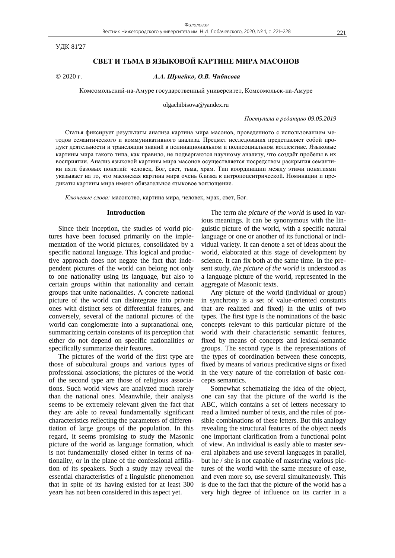УДК 81'27

## **СВЕТ И ТЬМА В ЯЗЫКОВОЙ КАРТИНЕ МИРА МАСОНОВ**

# 2020 г. *А.А. Шунейко, О.В. Чибисова*

Комсомольский-на-Амуре государственный университет, Комсомольск-на-Амуре

olgachibisova@yandex.ru

### *Поступила в редакцию 09.05.2019*

Статья фиксирует результаты анализа картина мира масонов, проведенного с использованием методов семантического и коммуникативного анализа. Предмет исследования представляет собой продукт деятельности и трансляции знаний в полинациональном и полисоциальном коллективе. Языковые картины мира такого типа, как правило, не подвергаются научному анализу, что создаёт пробелы в их восприятии. Анализ языковой картины мира масонов осуществляется посредством раскрытия семантики пяти базовых понятий: человек, Бог, свет, тьма, храм. Тип координации между этими понятиями указывает на то, что масонская картина мира очень близка к антропоцентрической. Номинации и предикаты картины мира имеют обязательное языковое воплощение.

*Ключевые слова:* масонство, картина мира, человек, мрак, свет, Бог*.*

### **Introduction**

Since their inception, the studies of world pictures have been focused primarily on the implementation of the world pictures, consolidated by a specific national language. This logical and productive approach does not negate the fact that independent pictures of the world can belong not only to one nationality using its language, but also to certain groups within that nationality and certain groups that unite nationalities. A concrete national picture of the world can disintegrate into private ones with distinct sets of differential features, and conversely, several of the national pictures of the world can conglomerate into a supranational one, summarizing certain constants of its perception that either do not depend on specific nationalities or specifically summarize their features.

The pictures of the world of the first type are those of subcultural groups and various types of professional associations; the pictures of the world of the second type are those of religious associations. Such world views are analyzed much rarely than the national ones. Meanwhile, their analysis seems to be extremely relevant given the fact that they are able to reveal fundamentally significant characteristics reflecting the parameters of differentiation of large groups of the population. In this regard, it seems promising to study the Masonic picture of the world as language formation, which is not fundamentally closed either in terms of nationality, or in the plane of the confessional affiliation of its speakers. Such a study may reveal the essential characteristics of a linguistic phenomenon that in spite of its having existed for at least 300 years has not been considered in this aspect yet.

The term *the picture of the world* is used in various meanings. It can be synonymous with the linguistic picture of the world, with a specific natural language or one or another of its functional or individual variety. It can denote a set of ideas about the world, elaborated at this stage of development by science. It can fix both at the same time. In the present study, *the picture of the world* is understood as a language picture of the world, represented in the aggregate of Masonic texts.

Any picture of the world (individual or group) in synchrony is a set of value-oriented constants that are realized and fixed) in the units of two types. The first type is the nominations of the basic concepts relevant to this particular picture of the world with their characteristic semantic features, fixed by means of concepts and lexical-semantic groups. The second type is the representations of the types of coordination between these concepts, fixed by means of various predicative signs or fixed in the very nature of the correlation of basic concepts semantics.

Somewhat schematizing the idea of the object, one can say that the picture of the world is the ABC, which contains a set of letters necessary to read a limited number of texts, and the rules of possible combinations of these letters. But this analogy revealing the structural features of the object needs one important clarification from a functional point of view. An individual is easily able to master several alphabets and use several languages in parallel, but he / she is not capable of mastering various pictures of the world with the same measure of ease, and even more so, use several simultaneously. This is due to the fact that the picture of the world has a very high degree of influence on its carrier in a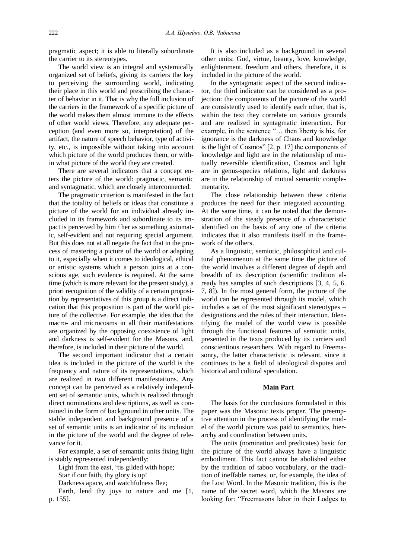pragmatic aspect; it is able to literally subordinate the carrier to its stereotypes.

The world view is an integral and systemically organized set of beliefs, giving its carriers the key to perceiving the surrounding world, indicating their place in this world and prescribing the character of behavior in it. That is why the full inclusion of the carriers in the framework of a specific picture of the world makes them almost immune to the effects of other world views. Therefore, any adequate perception (and even more so, interpretation) of the artifact, the nature of speech behavior, type of activity, etc., is impossible without taking into account which picture of the world produces them, or within what picture of the world they are created.

There are several indicators that a concept enters the picture of the world: pragmatic, semantic and syntagmatic, which are closely interconnected.

The pragmatic criterion is manifested in the fact that the totality of beliefs or ideas that constitute a picture of the world for an individual already included in its framework and subordinate to its impact is perceived by him / her as something axiomatic, self-evident and not requiring special argument. But this does not at all negate the fact that in the process of mastering a picture of the world or adapting to it, especially when it comes to ideological, ethical or artistic systems which a person joins at a conscious age, such evidence is required. At the same time (which is more relevant for the present study), a priori recognition of the validity of a certain proposition by representatives of this group is a direct indication that this proposition is part of the world picture of the collective. For example, the idea that the macro- and microcosms in all their manifestations are organized by the opposing coexistence of light and darkness is self-evident for the Masons, and, therefore, is included in their picture of the world.

The second important indicator that a certain idea is included in the picture of the world is the frequency and nature of its representations, which are realized in two different manifestations. Any concept can be perceived as a relatively independent set of semantic units, which is realized through direct nominations and descriptions, as well as contained in the form of background in other units. The stable independent and background presence of a set of semantic units is an indicator of its inclusion in the picture of the world and the degree of relevance for it.

For example, a set of semantic units fixing light is stably represented independently:

Light from the east, 'tis gilded with hope;

Star if our faith, thy glory is up!

Darkness apace, and watchfulness flee;

Earth, lend thy joys to nature and me [1, p. 155].

It is also included as a background in several other units: God, virtue, beauty, love, knowledge, enlightenment, freedom and others, therefore, it is included in the picture of the world.

In the syntagmatic aspect of the second indicator, the third indicator can be considered as a projection: the components of the picture of the world are consistently used to identify each other, that is, within the text they correlate on various grounds and are realized in syntagmatic interaction. For example, in the sentence "… then liberty is his, for ignorance is the darkness of Chaos and knowledge is the light of Cosmos" [2, p. 17] the components of knowledge and light are in the relationship of mutually reversible identification, Cosmos and light are in genus-species relations, light and darkness are in the relationship of mutual semantic complementarity.

The close relationship between these criteria produces the need for their integrated accounting. At the same time, it can be noted that the demonstration of the steady presence of a characteristic identified on the basis of any one of the criteria indicates that it also manifests itself in the framework of the others.

As a linguistic, semiotic, philosophical and cultural phenomenon at the same time the picture of the world involves a different degree of depth and breadth of its description (scientific tradition already has samples of such descriptions [3, 4, 5, 6. 7, 8]). In the most general form, the picture of the world can be represented through its model, which includes a set of the most significant stereotypes – designations and the rules of their interaction. Identifying the model of the world view is possible through the functional features of semiotic units, presented in the texts produced by its carriers and conscientious researchers. With regard to Freemasonry, the latter characteristic is relevant, since it continues to be a field of ideological disputes and historical and cultural speculation.

## **Main Part**

The basis for the conclusions formulated in this paper was the Masonic texts proper. The preemptive attention in the process of identifying the model of the world picture was paid to semantics, hierarchy and coordination between units.

The units (nomination and predicates) basic for the picture of the world always have a linguistic embodiment. This fact cannot be abolished either by the tradition of taboo vocabulary, or the tradition of ineffable names, or, for example, the idea of the Lost Word. In the Masonic tradition, this is the name of the secret word, which the Masons are looking for: "Freemasons labor in their Lodges to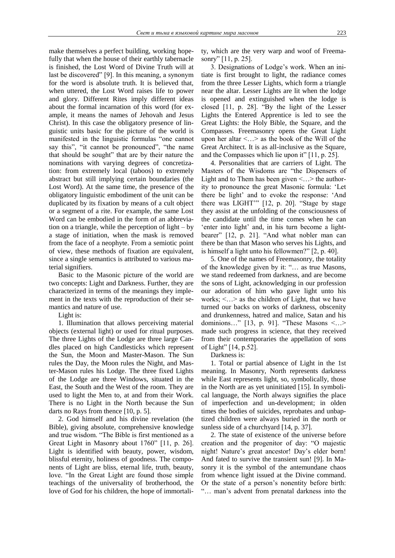make themselves a perfect building, working hopefully that when the house of their earthly tabernacle is finished, the Lost Word of Divine Truth will at last be discovered" [9]. In this meaning, a synonym for the word is absolute truth. It is believed that, when uttered, the Lost Word raises life to power and glory. Different Rites imply different ideas about the formal incarnation of this word (for example, it means the names of Jehovah and Jesus Christ). In this case the obligatory presence of linguistic units basic for the picture of the world is manifested in the linguistic formulas "one cannot say this", "it cannot be pronounced", "the name that should be sought" that are by their nature the nominations with varying degrees of concretization: from extremely local (taboos) to extremely abstract but still implying certain boundaries (the Lost Word). At the same time, the presence of the obligatory linguistic embodiment of the unit can be duplicated by its fixation by means of a cult object or a segment of a rite. For example, the same Lost Word can be embodied in the form of an abbreviation on a triangle, while the perception of light – by a stage of initiation, when the mask is removed from the face of a neophyte. From a semiotic point of view, these methods of fixation are equivalent, since a single semantics is attributed to various material signifiers.

Basic to the Masonic picture of the world are two concepts: Light and Darkness. Further, they are characterized in terms of the meanings they implement in the texts with the reproduction of their semantics and nature of use.

Light is:

1. Illumination that allows perceiving material objects (external light) or used for ritual purposes. The three Lights of the Lodge are three large Candles placed on high Candlesticks which represent the Sun, the Moon and Master-Mason. The Sun rules the Day, the Moon rules the Night, and Master-Mason rules his Lodge. The three fixed Lights of the Lodge are three Windows, situated in the East, the South and the West of the room. They are used to light the Men to, at and from their Work. There is no Light in the North because the Sun darts no Rays from thence [10, p. 5].

2. God himself and his divine revelation (the Bible), giving absolute, comprehensive knowledge and true wisdom. "The Bible is first mentioned as a Great Light in Masonry about 1760" [11, p. 26]. Light is identified with beauty, power, wisdom, blissful eternity, holiness of goodness. The components of Light are bliss, eternal life, truth, beauty, love. "In the Great Light are found those simple teachings of the universality of brotherhood, the love of God for his children, the hope of immortality, which are the very warp and woof of Freemasonry" [11, p. 25].

3. Designations of Lodge's work. When an initiate is first brought to light, the radiance comes from the three Lesser Lights, which form a triangle near the altar. Lesser Lights are lit when the lodge is opened and extinguished when the lodge is closed [11, p. 28]. "By the light of the Lesser Lights the Entered Apprentice is led to see the Great Lights: the Holy Bible, the Square, and the Compasses. Freemasonry opens the Great Light upon her altar  $\langle \ldots \rangle$  as the book of the Will of the Great Architect. It is as all-inclusive as the Square, and the Compasses which lie upon it" [11, p. 25].

4. Personalities that are carriers of Light. The Masters of the Wisdoms are "the Dispensers of Light and to Them has been given  $\lt$ ... > the authority to pronounce the great Masonic formula: 'Let there be light' and to evoke the response: 'And there was LIGHT'" [12, p. 20]. "Stage by stage they assist at the unfolding of the consciousness of the candidate until the time comes when he can 'enter into light' and, in his turn become a lightbearer" [12, p. 21]. "And what nobler man can there be than that Mason who serves his Lights, and is himself a light unto his fellowmen?" [2, p. 40].

5. One of the names of Freemasonry, the totality of the knowledge given by it: "… as true Masons, we stand redeemed from darkness, and are become the sons of Light, acknowledging in our profession our adoration of him who gave light unto his works; <…> as the children of Light, that we have turned our backs on works of darkness, obscenity and drunkenness, hatred and malice, Satan and his dominions…" [13, p. 91]. "These Masons <…> made such progress in science, that they received from their contemporaries the appellation of sons of Light" [14, p.52].

Darkness is:

1. Total or partial absence of Light in the 1st meaning. In Masonry, North represents darkness while East represents light, so, symbolically, those in the North are as yet uninitiated [15]. In symbolical language, the North always signifies the place of imperfection and un-development; in olden times the bodies of suicides, reprobates and unbaptized children were always buried in the north or sunless side of a churchyard [14, p. 37].

2. The state of existence of the universe before creation and the progenitor of day: "O majestic night! Nature's great ancestor! Day's elder born! And fated to survive the transient sun! [9]. In Masonry it is the symbol of the antemundane chaos from whence light issued at the Divine command. Or the state of a person's nonentity before birth: "… man's advent from prenatal darkness into the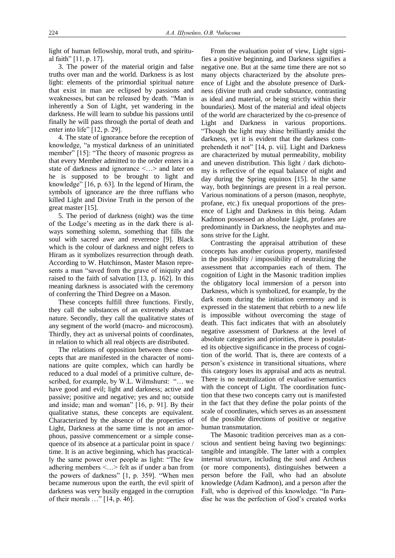light of human fellowship, moral truth, and spiritual faith" [11, p. 17].

3. The power of the material origin and false truths over man and the world. Darkness is as lost light: elements of the primordial spiritual nature that exist in man are eclipsed by passions and weaknesses, but can be released by death. "Man is inherently a Son of Light, yet wandering in the darkness. He will learn to subdue his passions until finally he will pass through the portal of death and enter into life" [12, p. 29].

4. The state of ignorance before the reception of knowledge, "a mystical darkness of an uninitiated member" [15]: "The theory of masonic progress as that every Member admitted to the order enters in a state of darkness and ignorance <…> and later on he is supposed to be brought to light and knowledge" [16, p. 63]. In the legend of Hiram, the symbols of ignorance are the three ruffians who killed Light and Divine Truth in the person of the great master [15].

5. The period of darkness (night) was the time of the Lodge's meeting as in the dark there is always something solemn, something that fills the soul with sacred awe and reverence [9]. Black which is the colour of darkness and night refers to Hiram as it symbolizes resurrection through death. According to W. Hutchinson, Master Mason represents a man "saved from the grave of iniquity and raised to the faith of salvation [13, p. 162]. In this meaning darkness is associated with the ceremony of conferring the Third Degree on a Mason.

These concepts fulfill three functions. Firstly, they call the substances of an extremely abstract nature. Secondly, they call the qualitative states of any segment of the world (macro- and microcosm). Thirdly, they act as universal points of coordinates, in relation to which all real objects are distributed.

The relations of opposition between these concepts that are manifested in the character of nominations are quite complex, which can hardly be reduced to a dual model of a primitive culture, described, for example, by W.L. Wilmshurst: "… we have good and evil; light and darkness; active and passive; positive and negative; yes and no; outside and inside; man and woman" [16, p. 91]. By their qualitative status, these concepts are equivalent. Characterized by the absence of the properties of Light, Darkness at the same time is not an amorphous, passive commencement or a simple consequence of its absence at a particular point in space / time. It is an active beginning, which has practically the same power over people as light: "The few adhering members <…> felt as if under a ban from the powers of darkness" [1, p. 359]. "When men became numerous upon the earth, the evil spirit of darkness was very busily engaged in the corruption of their morals …" [14, p. 46].

From the evaluation point of view, Light signifies a positive beginning, and Darkness signifies a negative one. But at the same time there are not so many objects characterized by the absolute presence of Light and the absolute presence of Darkness (divine truth and crude substance, contrasting as ideal and material, or being strictly within their boundaries). Most of the material and ideal objects of the world are characterized by the co-presence of Light and Darkness in various proportions. "Though the light may shine brilliantly amidst the darkness, yet it is evident that the darkness comprehendeth it not" [14, p. vii]. Light and Darkness are characterized by mutual permeability, mobility and uneven distribution. This light / dark dichotomy is reflective of the equal balance of night and day during the Spring equinox [15]. In the same way, both beginnings are present in a real person. Various nominations of a person (mason, neophyte, profane, etc.) fix unequal proportions of the presence of Light and Darkness in this being. Adam Kadmon possessed an absolute Light, profanes are predominantly in Darkness, the neophytes and masons strive for the Light.

Contrasting the appraisal attribution of these concepts has another curious property, manifested in the possibility / impossibility of neutralizing the assessment that accompanies each of them. The cognition of Light in the Masonic tradition implies the obligatory local immersion of a person into Darkness, which is symbolized, for example, by the dark room during the initiation ceremony and is expressed in the statement that rebirth to a new life is impossible without overcoming the stage of death. This fact indicates that with an absolutely negative assessment of Darkness at the level of absolute categories and priorities, there is postulated its objective significance in the process of cognition of the world. That is, there are contexts of a person's existence in transitional situations, where this category loses its appraisal and acts as neutral. There is no neutralization of evaluative semantics with the concept of Light. The coordination function that these two concepts carry out is manifested in the fact that they define the polar points of the scale of coordinates, which serves as an assessment of the possible directions of positive or negative human transmutation.

The Masonic tradition perceives man as a conscious and sentient being having two beginnings: tangible and intangible. The latter with a complex internal structure, including the soul and Archeus (or more components), distinguishes between a person before the Fall, who had an absolute knowledge (Adam Kadmon), and a person after the Fall, who is deprived of this knowledge. "In Paradise he was the perfection of God's created works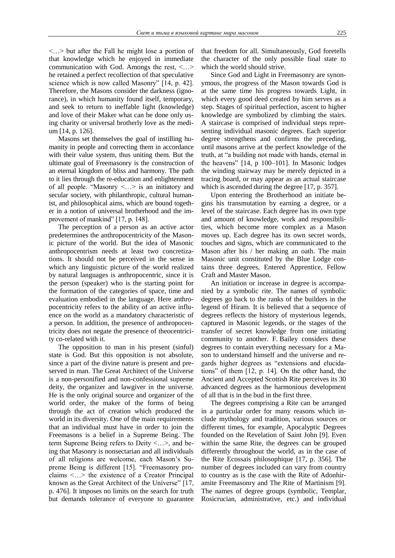<…> but after the Fall he might lose a portion of that knowledge which he enjoyed in immediate communication with God. Amongs the rest, <…> he retained a perfect recollection of that speculative science which is now called Masonry" [14, p. 42]. Therefore, the Masons consider the darkness (ignorance), in which humanity found itself, temporary, and seek to return to ineffable light (knowledge) and love of their Maker what can be done only using charity or universal brotherly love as the medium [14, p. 126].

Masons set themselves the goal of instilling humanity in people and correcting them in accordance with their value system, thus uniting them. But the ultimate goal of Freemasonry is the construction of an eternal kingdom of bliss and harmony. The path to it lies through the re-education and enlightenment of all people. "Masonry <…> is an initiatory and secular society, with philanthropic, cultural humanist, and philosophical aims, which are bound together in a notion of universal brotherhood and the improvement of mankind" [17, p. 148].

The perception of a person as an active actor predetermines the anthropocentricity of the Masonic picture of the world. But the idea of Masonic anthropocentrism needs at least two concretizations. It should not be perceived in the sense in which any linguistic picture of the world realized by natural languages is anthropocentric, since it is the person (speaker) who is the starting point for the formation of the categories of space, time and evaluation embodied in the language. Here anthropocentricity refers to the ability of an active influence on the world as a mandatory characteristic of a person. In addition, the presence of anthropocentricity does not negate the presence of theocentricity co-related with it.

The opposition to man in his present (sinful) state is God. But this opposition is not absolute, since a part of the divine nature is present and preserved in man. The Great Architect of the Universe is a non-personified and non-confessional supreme deity, the organizer and lawgiver in the universe. He is the only original source and organizer of the world order, the maker of the forms of being through the act of creation which produced the world in its diversity. One of the main requirements that an individual must have in order to join the Freemasons is a belief in a Supreme Being. The term Supreme Being refers to Deity <…>, and being that Masonry is nonsectarian and all individuals of all religions are welcome, each Mason's Supreme Being is different [15]. "Freemasonry proclaims <…> the existence of a Creator Principal known as the Great Architect of the Universe" [17, p. 476]. It imposes no limits on the search for truth but demands tolerance of everyone to guarantee that freedom for all. Simultaneously, God foretells the character of the only possible final state to which the world should strive.

Since God and Light in Freemasonry are synonymous, the progress of the Mason towards God is at the same time his progress towards Light, in which every good deed created by him serves as a step. Stages of spiritual perfection, ascent to higher knowledge are symbolized by climbing the stairs. A staircase is comprised of individual steps representing individual masonic degrees. Each superior degree strengthens and confirms the preceding, until masons arrive at the perfect knowledge of the truth, at "a building not made with hands, eternal in the heavens" [14, p 100–101]. In Masonic lodges the winding stairway may be merely depicted in a tracing board, or may appear as an actual staircase which is ascended during the degree [17, p. 357].

Upon entering the Brotherhood an initiate begins his transmutation by earning a degree, or a level of the staircase. Each degree has its own type and amount of knowledge, work and responsibilities, which become more complex as a Mason moves up. Each degree has its own secret words, touches and signs, which are communicated to the Mason after his / her making an oath. The main Masonic unit constituted by the Blue Lodge contains three degrees, Entered Apprentice, Fellow Craft and Master Mason.

An initiation or increase in degree is accompanied by a symbolic rite. The names of symbolic degrees go back to the ranks of the builders in the legend of Hiram. It is believed that a sequence of degrees reflects the history of mysterious legends, captured in Masonic legends, or the stages of the transfer of secret knowledge from one initiating community to another. F. Bailey considers these degrees to contain everything necessary for a Mason to understand himself and the universe and regards higher degrees as "extensions and elucidations" of them [12, p. 14]. On the other hand, the Ancient and Accepted Scottish Rite perceives its 30 advanced degrees as the harmonious development of all that is in the bud in the first three.

The degrees comprising a Rite can be arranged in a particular order for many reasons which include mythology and tradition, various sources or different times, for example, Apocalyptic Degrees founded on the Revelation of Saint John [9]. Even within the same Rite, the degrees can be grouped differently throughout the world, as in the case of the Rite Ecossais philosophique [17, p. 356]. The number of degrees included can vary from country to country as is the case with the Rite of Adonhiramite Freemasonry and The Rite of Martinism [9]. The names of degree groups (symbolic, Templar, Rosicrucian, administrative, etc.) and individual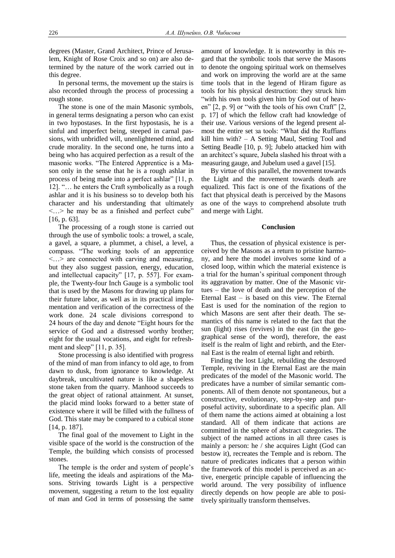degrees (Master, Grand Architect, Prince of Jerusalem, Knight of Rose Croix and so on) are also determined by the nature of the work carried out in this degree.

In personal terms, the movement up the stairs is also recorded through the process of processing a rough stone.

The stone is one of the main Masonic symbols, in general terms designating a person who can exist in two hypostases. In the first hypostasis, he is a sinful and imperfect being, steeped in carnal passions, with unbridled will, unenlightened mind, and crude morality. In the second one, he turns into a being who has acquired perfection as a result of the masonic works. "The Entered Apprentice is a Mason only in the sense that he is a rough ashlar in process of being made into a perfect ashlar" [11, p. 12]. "… he enters the Craft symbolically as a rough ashlar and it is his business so to develop both his character and his understanding that ultimately <…> he may be as a finished and perfect cube" [16, p. 63].

The processing of a rough stone is carried out through the use of symbolic tools: a trowel, a scale, a gavel, a square, a plummet, a chisel, a level, a compass. "The working tools of an apprentice <…> are connected with carving and measuring, but they also suggest passion, energy, education, and intellectual capacity" [17, p. 557]. For example, the Twenty-four Inch Gauge is a symbolic tool that is used by the Masons for drawing up plans for their future labor, as well as in its practical implementation and verification of the correctness of the work done. 24 scale divisions correspond to 24 hours of the day and denote "Eight hours for the service of God and a distressed worthy brother; eight for the usual vocations, and eight for refreshment and sleep" [11, p. 35].

Stone processing is also identified with progress of the mind of man from infancy to old age, to from dawn to dusk, from ignorance to knowledge. At daybreak, uncultivated nature is like a shapeless stone taken from the quarry. Manhood succeeds to the great object of rational attainment. At sunset, the placid mind looks forward to a better state of existence where it will be filled with the fullness of God. This state may be compared to a cubical stone [14, p. 187].

The final goal of the movement to Light in the visible space of the world is the construction of the Temple, the building which consists of processed stones.

The temple is the order and system of people's life, meeting the ideals and aspirations of the Masons. Striving towards Light is a perspective movement, suggesting a return to the lost equality of man and God in terms of possessing the same amount of knowledge. It is noteworthy in this regard that the symbolic tools that serve the Masons to denote the ongoing spiritual work on themselves and work on improving the world are at the same time tools that in the legend of Hiram figure as tools for his physical destruction: they struck him "with his own tools given him by God out of heaven" [2, p. 9] or "with the tools of his own Craft" [2, p. 17] of which the fellow craft had knowledge of their use. Various versions of the legend present almost the entire set за tools: "What did the Ruffians kill him with? – A Setting Maul, Setting Tool and Setting Beadle [10, p. 9]; Jubelo attacked him with an architect's square, Jubela slashed his throat with a measuring gauge, and Jubelum used a gavel [15].

By virtue of this parallel, the movement towards the Light and the movement towards death are equalized. This fact is one of the fixations of the fact that physical death is perceived by the Masons as one of the ways to comprehend absolute truth and merge with Light.

### **Conclusion**

Thus, the cessation of physical existence is perceived by the Masons as a return to pristine harmony, and here the model involves some kind of a closed loop, within which the material existence is a trial for the human's spiritual component through its aggravation by matter. One of the Masonic virtues – the love of death and the perception of the Eternal East – is based on this view. The Eternal East is used for the nomination of the region to which Masons are sent after their death. The semantics of this name is related to the fact that the sun (light) rises (revives) in the east (in the geographical sense of the word), therefore, the east itself is the realm of light and rebirth, and the Eternal East is the realm of eternal light and rebirth.

Finding the lost Light, rebuilding the destroyed Temple, reviving in the Eternal East are the main predicates of the model of the Masonic world. The predicates have a number of similar semantic components. All of them denote not spontaneous, but a constructive, evolutionary, step-by-step and purposeful activity, subordinate to a specific plan. All of them name the actions aimed at obtaining a lost standard. All of them indicate that actions are committed in the sphere of abstract categories. The subject of the named actions in all three cases is mainly a person: he / she acquires Light (God can bestow it), recreates the Temple and is reborn. The nature of predicates indicates that a person within the framework of this model is perceived as an active, energetic principle capable of influencing the world around. The very possibility of influence directly depends on how people are able to positively spiritually transform themselves.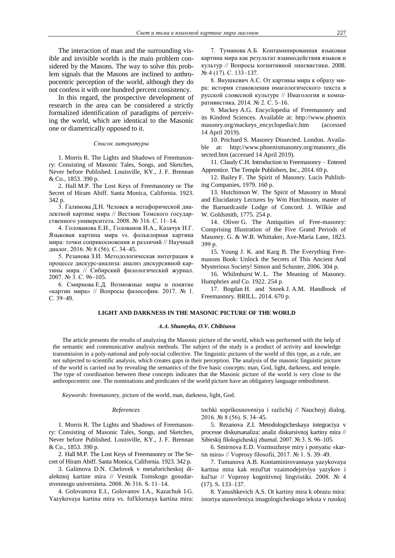The interaction of man and the surrounding visible and invisible worlds is the main problem considered by the Masons. The way to solve this problem signals that the Masons are inclined to anthropocentric perception of the world, although they do not confess it with one hundred percent consistency.

In this regard, the prospective development of research in the area can be considered a strictly formalized identification of paradigms of perceiving the world, which are identical to the Masonic one or diametrically opposed to it.

### *Список литературы*

1. Morris R. The Lights and Shadows of Freemasonry: Consisting of Masonic Tales, Songs, and Sketches, Never before Published. Louisville, KY., J. F. Brennan & Co., 1853. 390 p.

2. Hall M.P. The Lost Keys of Freemasonry or The Secret of Hiram Abiff. Santa Monica, California. 1923. 342 p.

3. Галимова Д.Н. Человек в метафорической диалектной картине мира // Вестник Томского государственного университета. 2008. № 316. С. 11–14.

4. Голованова Е.И., Голованов И.А., Казачук И.Г. Языковая картина мира vs. фольклорная картина мира: точки соприкосновения и различий // Научный диалог. 2016. № 8 (56). С. 34–45.

5. Резанова З.И. Методологическая интеграция в процессе дискурс-анализа: анализ дискурсивной картины мира // Сибирский филологический журнал. 2007. № 3. С. 96–105.

6. Смирнова Е.Д. Возможные миры и понятие «картин мира» // Вопросы философии. 2017. № 1. С. 39–49.

7. Туманова А.Б. Контаминированная языковая картина мира как результат взаимодействия языков и культур // Вопросы когнитивной лингвистики. 2008. № 4 (17). С. 133–137.

8. Янушкевич А.С. От картины мира к образу мира: история становления имагологического текста в русской словесной культуре // Имагология и компаративистика. 2014. № 2. С. 5–16.

9. Mackey A.G. Encyclopedia of Freemasonry and its Kindred Sciences. Available at: http://www.phoenix masonry.org/mackeys\_encyclopedia/c.htm (accessed 14 April 2019).

10. Prichard S. Masonry Dissected. London. Available at: http://www.phoenixmasonry.org/masonry\_dis sected.htm (accessed 14 April 2019).

11. Claudy С.H. Introduction to Freemasonry – Entered Apprentice. The Temple Publishers, Inc., 2014. 69 p.

12. Bailey F. The Spirit of Masonry. Lucis Publishing Companies, 1979. 160 p.

13. Hutchinson W. The Spirit of Masonry in Moral and Elucidatory Lectures by Wm Hutchinson, master of the Barnardcastle Lodge of Concord. J. Wilkie and W. Goldsmith, 1775. 254 p.

14. Oliver G. The Antiquities of Free-masonry: Comprising Illustration of the Five Grand Periods of Masonry. G. & W.B. Whittaker, Ave-Maria Lane, 1823. 399 р.

15. Young J. K. and Karg B. The Everything Freemasons Book: Unlock the Secrets of This Ancient And Mysterious Society! Simon and Schuster, 2006. 304 р.

16. Whilmhurst W. L. The Meaning of Masonry. Humphries and Co. 1922. 254 p.

17. Bogdan H. and Snoek J. A.M. Handbook of Freemasonry. BRILL. 2014. 670 p.

### **LIGHT AND DARKNESS IN THE MASONIC PICTURE OF THE WORLD**

#### *А.А. Shuneyko, О.V. Chibisova*

The article presents the results of analyzing the Masonic picture of the world, which was performed with the help of the semantic and communicative analysis methods. The subject of the study is a product of activity and knowledge transmission in a poly-national and poly-social collective. The linguistic pictures of the world of this type, as a rule, are not subjected to scientific analysis, which creates gaps in their perception. The analysis of the masonic linguistic picture of the world is carried out by revealing the semantics of the five basic concepts: man, God, light, darkness, and temple. The type of coordination between these concepts indicates that the Masonic picture of the world is very close to the anthropocentric one. The nominations and predicates of the world picture have an obligatory language embodiment.

*Keywords:* freemasonry, picture of the world, man, darkness, light, God.

#### *References*

1. Morris R. The Lights and Shadows of Freemasonry: Consisting of Masonic Tales, Songs, and Sketches, Never before Published. Louisville, KY., J. F. Brennan & Co., 1853. 390 p.

2. Hall M.P. The Lost Keys of Freemasonry or The Secret of Hiram Abiff. Santa Monica, California. 1923. 342 p.

3. Galimova D.N. Chelovek v metaforicheskoj dialektnoj kartine mira // Vestnik Tomskogo gosudarstvennogo universiteta. 2008. № 316. S. 11–14.

4. Golovanova E.I., Golovanov I.A., Kazachuk I.G. Yazykovaya kartina mira vs. fol'klornaya kartina mira: tochki soprikosnoveniya i razlichij // Nauchnyj dialog. 2016. № 8 (56). S. 34–45.

5. Rezanova Z.I. Metodologicheskaya integraciya v processe diskursanaliza: analiz diskursivnoj kartiny mira // Sibirskij filologicheskij zhurnal. 2007. № 3. S. 96–105.

6. Smirnova E.D. Vozmozhnye miry i ponyatie «kartin mira» // Voprosy filosofii, 2017. № 1. S. 39–49.

7. Tumanova A.B. Kontaminirovannaya yazykovaya kartina mira kak rezul'tat vzaimodejstviya yazykov i kul'tur // Voprosy kognitivnoj lingvistiki. 2008. № 4 (17). S. 133–137.

8. Yanushkevich A.S. Ot kartiny mira k obrazu mira: istoriya stanovleniya imagologicheskogo teksta v russkoj